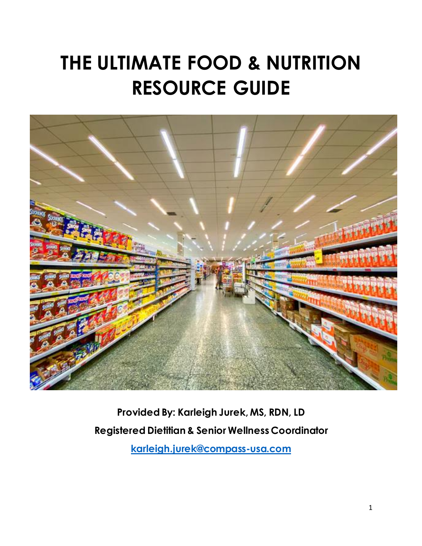# **THE ULTIMATE FOOD & NUTRITION RESOURCE GUIDE**



**Provided By: Karleigh Jurek, MS, RDN, LD Registered Dietitian & Senior Wellness Coordinator**

**[karleigh.jurek@compass-usa.com](mailto:karleigh.jurek@compass-usa.com)**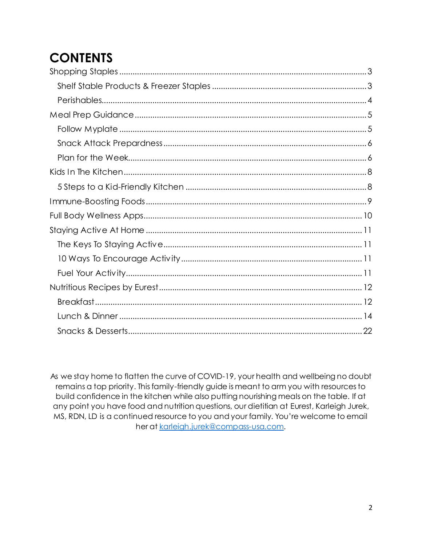## **CONTENTS**

As we stay home to flatten the curve of COVID-19, your health and wellbeing no doubt remains a top priority. This family-friendly guide is meant to arm you with resources to build confidence in the kitchen while also putting nourishing meals on the table. If at any point you have food and nutrition questions, our dietitian at Eurest, Karleigh Jurek, MS, RDN, LD is a continued resource to you and your family. You're welcome to email her at karleigh.jurek@compass-usa.com.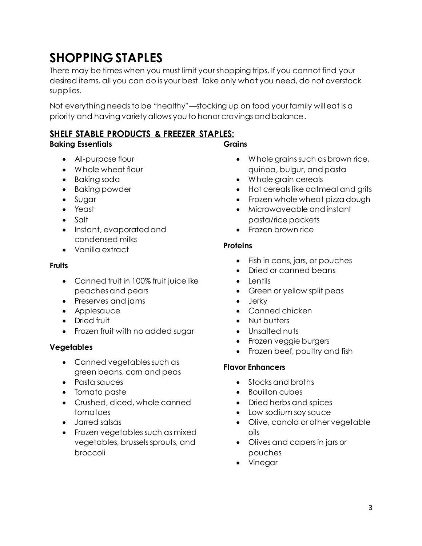## <span id="page-2-0"></span>**SHOPPING STAPLES**

There may be times when you must limit your shopping trips. If you cannot find your desired items, all you can do is your best. Take only what you need, do not overstock supplies.

Not everything needs to be "healthy"—stocking up on food your family will eat is a priority and having variety allows you to honor cravings and balance.

### <span id="page-2-1"></span>**SHELF STABLE PRODUCTS & FREEZER STAPLES:**

### **Baking Essentials**

**Grains**

- All-purpose flour
- Whole wheat flour
- Baking soda
- Baking powder
- Sugar
- Yeast
- Salt
- Instant, evaporated and condensed milks
- Vanilla extract

#### **Fruits**

- Canned fruit in 100% fruit juice like peaches and pears
- Preserves and jams
- Applesauce
- Dried fruit
- Frozen fruit with no added sugar

### **Vegetables**

- Canned vegetables such as green beans, corn and peas
- Pasta sauces
- Tomato paste
- Crushed, diced, whole canned tomatoes
- Jarred salsas
- Frozen vegetables such as mixed vegetables, brussels sprouts, and broccoli
- Whole grains such as brown rice, quinoa, bulgur, and pasta
- Whole grain cereals
- Hot cereals like oatmeal and grits
- Frozen whole wheat pizza dough
- Microwaveable and instant pasta/rice packets
- Frozen brown rice

### **Proteins**

- Fish in cans, jars, or pouches
- Dried or canned beans
- Lentils
- Green or yellow split peas
- Jerky
- Canned chicken
- Nut butters
- Unsalted nuts
- Frozen veggie burgers
- Frozen beef, poultry and fish

### **Flavor Enhancers**

- Stocks and broths
- Bouillon cubes
- Dried herbs and spices
- Low sodium soy sauce
- Olive, canola or other vegetable oils
- Olives and capers in jars or pouches
- Vinegar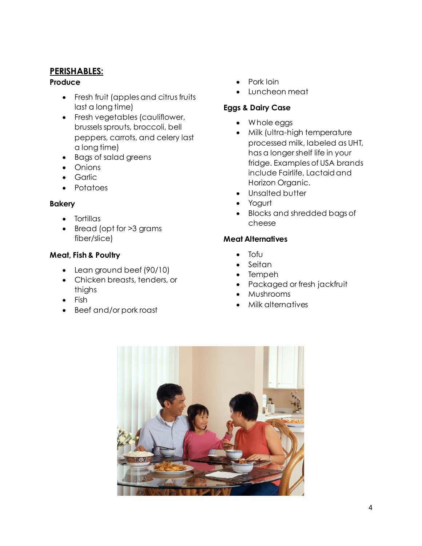### <span id="page-3-0"></span>**PERISHABLES:**

#### **Produce**

- Fresh fruit (apples and citrus fruits last a long time)
- Fresh vegetables (cauliflower, brussels sprouts, broccoli, bell peppers, carrots, and celery last a long time)
- Bags of salad greens
- Onions
- Garlic
- Potatoes

### **Bakery**

- Tortillas
- Bread (opt for >3 grams fiber/slice)

### **Meat, Fish & Poultry**

- Lean ground beef (90/10)
- Chicken breasts, tenders, or thighs
- Fish
- Beef and/or pork roast
- Pork loin
- Luncheon meat

### **Eggs & Dairy Case**

- Whole eggs
- Milk (ultra-high temperature processed milk, labeled as UHT, has a longer shelf life in your fridge. Examples of USA brands include Fairlife, Lactaid and Horizon Organic.
- Unsalted butter
- Yogurt
- Blocks and shredded bags of cheese

### **Meat Alternatives**

- Tofu
- Seitan
- Tempeh
- Packaged or fresh jackfruit
- Mushrooms
- Milk alternatives

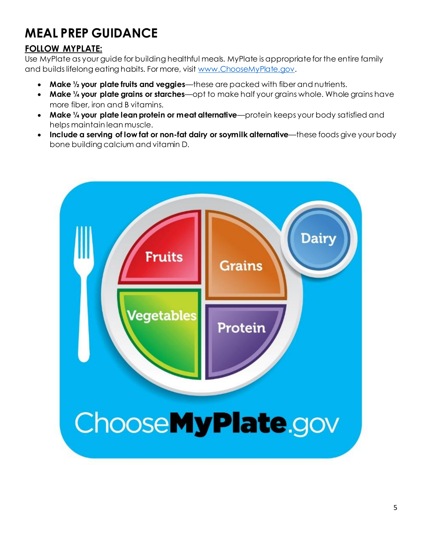## <span id="page-4-0"></span>**MEAL PREP GUIDANCE**

### <span id="page-4-1"></span>**FOLLOW MYPLATE:**

Use MyPlate as your guide for building healthful meals. MyPlate is appropriate for the entire family and builds lifelong eating habits. For more, visi[t www.ChooseMyPlate.gov](http://www.choosemyplate.gov/).

- **Make ½ your plate fruits and veggies**—these are packed with fiber and nutrients.
- **Make ¼ your plate grains or starches**—opt to make half your grains whole. Whole grains have more fiber, iron and B vitamins.
- **Make ¼ your plate lean protein or meat alternative**—protein keeps your body satisfied and helps maintain lean muscle.
- **Include a serving of low fat or non-fat dairy or soymilk alternative—these foods give your body** bone building calcium and vitamin D.

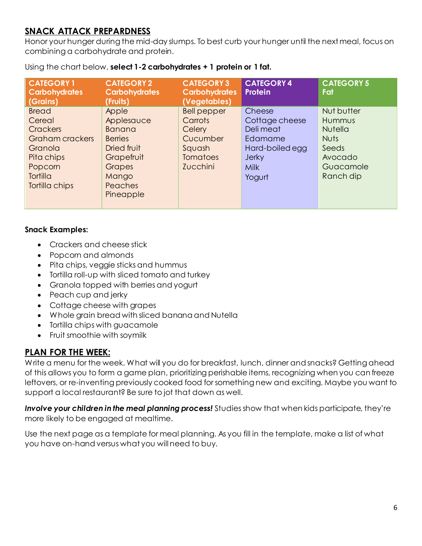### <span id="page-5-0"></span>**SNACK ATTACK PREPARDNESS**

Honor your hunger during the mid-day slumps. To best curb your hunger until the next meal, focus on combining a carbohydrate and protein.

| <b>CATEGORY 1</b><br><b>Carbohydrates</b>                                                                                | <b>CATEGORY 2</b><br><b>Carbohydrates</b>                                                                                 | <b>CATEGORY 3</b><br><b>Carbohydrates</b>                                                                    | <b>CATEGORY 4</b><br>Protein                                                                                 | <b>CATEGORY 5</b><br>Fat                                                                            |
|--------------------------------------------------------------------------------------------------------------------------|---------------------------------------------------------------------------------------------------------------------------|--------------------------------------------------------------------------------------------------------------|--------------------------------------------------------------------------------------------------------------|-----------------------------------------------------------------------------------------------------|
| (Grains)<br><b>Bread</b><br>Cereal<br><b>Crackers</b><br>Graham crackers<br>Granola<br>Pita chips<br>Popcorn<br>Tortilla | (Fruits)<br>Apple<br>Applesauce<br><b>Banana</b><br><b>Berries</b><br>Dried fruit<br>Grapefruit<br><b>Grapes</b><br>Mango | (Vegetables)<br><b>Bell pepper</b><br>Carrots<br>Celery<br>Cucumber<br>Squash<br><b>Tomatoes</b><br>Zucchini | Cheese<br>Cottage cheese<br>Deli meat<br>Edamame<br>Hard-boiled egg<br><b>Jerky</b><br><b>Milk</b><br>Yogurt | Nut butter<br>Hummus<br><b>Nutella</b><br><b>Nuts</b><br>Seeds<br>Avocado<br>Guacamole<br>Ranch dip |
| Tortilla chips                                                                                                           | <b>Peaches</b><br>Pineapple                                                                                               |                                                                                                              |                                                                                                              |                                                                                                     |

Using the chart below, **select 1-2 carbohydrates + 1 protein or 1 fat.** 

#### **Snack Examples:**

- Crackers and cheese stick
- Popcorn and almonds
- Pita chips, veggie sticks and hummus
- Tortilla roll-up with sliced tomato and turkey
- Granola topped with berries and yogurt
- Peach cup and jerky
- Cottage cheese with grapes
- Whole grain bread with sliced banana and Nutella
- Tortilla chips with guacamole
- Fruit smoothie with soymilk

### <span id="page-5-1"></span>**PLAN FOR THE WEEK:**

Write a menu for the week. What will you do for breakfast, lunch, dinner and snacks? Getting ahead of this allows you to form a game plan, prioritizing perishable items, recognizing when you can freeze leftovers, or re-inventing previously cooked food for something new and exciting. Maybe you want to support a local restaurant? Be sure to jot that down as well.

*Involve your children in the meal planning process!* Studies show that when kids participate, they're more likely to be engaged at mealtime.

Use the next page as a template for meal planning. As you fill in the template, make a list of what you have on-hand versus what you will need to buy.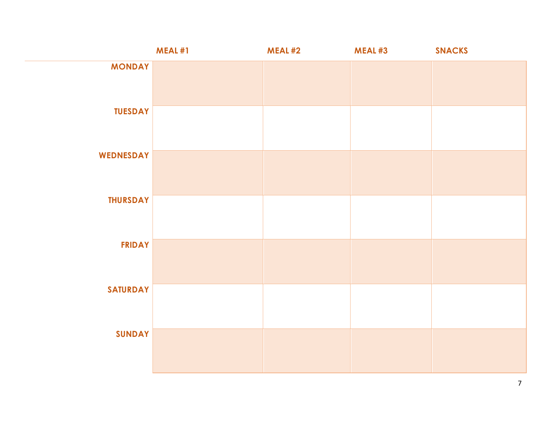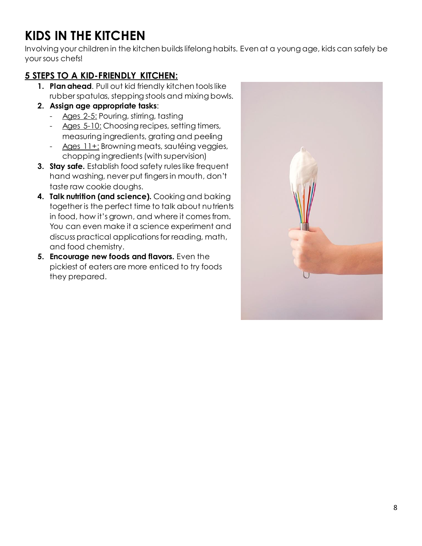## <span id="page-7-0"></span>**KIDS IN THE KITCHEN**

Involving your children in the kitchen builds lifelong habits. Even at a young age, kids can safely be your sous chefs!

### <span id="page-7-1"></span>**5 STEPS TO A KID-FRIENDLY KITCHEN:**

- **1. Plan ahead**. Pull out kid friendly kitchen tools like rubber spatulas, stepping stools and mixing bowls.
- **2. Assign age appropriate tasks**:
	- Ages 2-5: Pouring, stirring, tasting
	- Ages 5-10: Choosing recipes, setting timers, measuring ingredients, grating and peeling
	- Ages 11+: Browning meats, sautéing veggies, chopping ingredients (with supervision)
- **3. Stay safe.** Establish food safety rules like frequent hand washing, never put fingers in mouth, don't taste raw cookie doughs.
- **4. Talk nutrition (and science).** Cooking and baking together is the perfect time to talk about nutrients in food, how it's grown, and where it comes from. You can even make it a science experiment and discuss practical applications for reading, math, and food chemistry.
- **5. Encourage new foods and flavors.** Even the pickiest of eaters are more enticed to try foods they prepared.

![](_page_7_Picture_11.jpeg)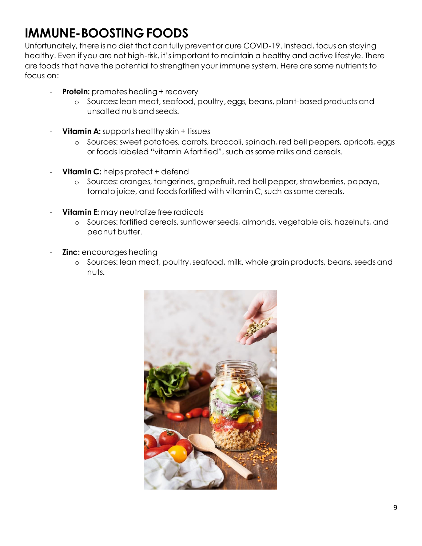## <span id="page-8-0"></span>**IMMUNE-BOOSTING FOODS**

Unfortunately, there is no diet that can fully prevent or cure COVID-19. Instead, focus on staying healthy. Even if you are not high-risk, it's important to maintain a healthy and active lifestyle. There are foods that have the potential to strengthen your immune system. Here are some nutrients to focus on:

- **Protein:** promotes healing + recovery
	- o Sources**:** lean meat, seafood, poultry, eggs, beans, plant-based products and unsalted nuts and seeds.
- **Vitamin A:** supports healthy skin + tissues
	- o Sources: sweet potatoes, carrots, broccoli, spinach, red bell peppers, apricots, eggs or foods labeled "vitamin A fortified", such as some milks and cereals.
- **Vitamin C:** helps protect + defend
	- o Sources: oranges, tangerines, grapefruit, red bell pepper, strawberries, papaya, tomato juice, and foods fortified with vitamin C, such as some cereals.
- **Vitamin E:** may neutralize free radicals
	- o Sources: fortified cereals, sunflower seeds, almonds, vegetable oils, hazelnuts, and peanut butter.
- **Zinc:** encourages healing
	- o Sources: lean meat, poultry, seafood, milk, whole grain products, beans, seeds and nuts.

![](_page_8_Picture_12.jpeg)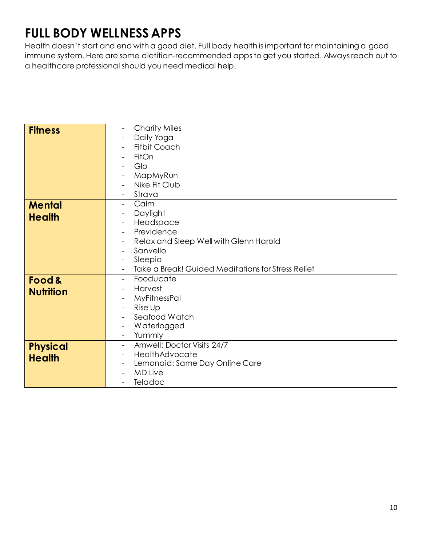## <span id="page-9-0"></span>**FULL BODY WELLNESS APPS**

Health doesn't start and end with a good diet. Full body health is important for maintaining a good immune system. Here are some dietitian-recommended apps to get you started. Always reach out to a healthcare professional should you need medical help.

| <b>Fitness</b>   | <b>Charity Miles</b>                               |  |  |
|------------------|----------------------------------------------------|--|--|
|                  | Daily Yoga                                         |  |  |
|                  | <b>Fitbit Coach</b>                                |  |  |
|                  | FitOn                                              |  |  |
|                  | Glo                                                |  |  |
|                  |                                                    |  |  |
|                  | MapMyRun                                           |  |  |
|                  | Nike Fit Club                                      |  |  |
|                  | Strava                                             |  |  |
| <b>Mental</b>    | Calm<br>$\blacksquare$                             |  |  |
| <b>Health</b>    | Daylight                                           |  |  |
|                  | Headspace                                          |  |  |
|                  | Previdence                                         |  |  |
|                  | Relax and Sleep Well with Glenn Harold             |  |  |
|                  | Sanvello                                           |  |  |
|                  | Sleepio                                            |  |  |
|                  | Take a Break! Guided Meditations for Stress Relief |  |  |
|                  |                                                    |  |  |
| Food &           | Fooducate<br>$\sim$                                |  |  |
| <b>Nutrition</b> | Harvest                                            |  |  |
|                  | MyFitnessPal                                       |  |  |
|                  | Rise Up                                            |  |  |
|                  | Seafood Watch                                      |  |  |
|                  | Waterlogged                                        |  |  |
|                  | Yummly<br>$\blacksquare$                           |  |  |
| <b>Physical</b>  | Amwell: Doctor Visits 24/7<br>$\equiv$             |  |  |
|                  | HealthAdvocate                                     |  |  |
| <b>Health</b>    | Lemonaid: Same Day Online Care                     |  |  |
|                  | <b>MD Live</b>                                     |  |  |
|                  | Teladoc                                            |  |  |
|                  |                                                    |  |  |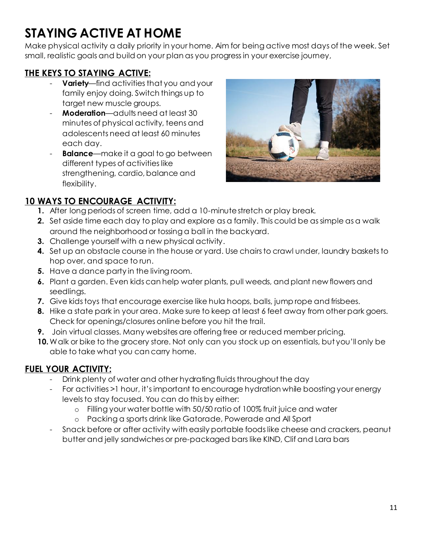## <span id="page-10-0"></span>**STAYING ACTIVE AT HOME**

Make physical activity a daily priority in your home. Aim for being active most days of the week. Set small, realistic goals and build on your plan as you progress in your exercise journey,

### <span id="page-10-1"></span>**THE KEYS TO STAYING ACTIVE:**

- **Variety**—find activities that you and your family enjoy doing. Switch things up to target new muscle groups.
- **Moderation**—adults need at least 30 minutes of physical activity, teens and adolescents need at least 60 minutes each day.
- **Balance**—make it a goal to go between different types of activities like strengthening, cardio, balance and flexibility.

![](_page_10_Picture_6.jpeg)

### <span id="page-10-2"></span>**10 WAYS TO ENCOURAGE ACTIVITY:**

- **1.** After long periods of screen time, add a 10-minute stretch or play break.
- **2.** Set aside time each day to play and explore as a family. This could be as simple as a walk around the neighborhood or tossing a ball in the backyard.
- **3.** Challenge yourself with a new physical activity.
- **4.** Set up an obstacle course in the house or yard. Use chairs to crawl under, laundry baskets to hop over, and space to run.
- **5.** Have a dance party in the living room.
- **6.** Plant a garden. Even kids can help water plants, pull weeds, and plant new flowers and seedlings.
- **7.** Give kids toys that encourage exercise like hula hoops, balls, jump rope and frisbees.
- **8.** Hike a state park in your area. Make sure to keep at least 6 feet away from other park goers. Check for openings/closures online before you hit the trail.
- **9.** Join virtual classes. Many websites are offering free or reduced member pricing.
- **10.**Walk or bike to the grocery store. Not only can you stock up on essentials, but you'll only be able to take what you can carry home.

### <span id="page-10-3"></span>**FUEL YOUR ACTIVITY:**

- Drink plenty of water and other hydrating fluids throughout the day
- For activities >1 hour, it's important to encourage hydration while boosting your energy levels to stay focused. You can do this by either:
	- o Filling your water bottle with 50/50 ratio of 100% fruit juice and water
	- o Packing a sports drink like Gatorade, Powerade and All Sport
- Snack before or after activity with easily portable foods like cheese and crackers, peanut butter and jelly sandwiches or pre-packaged bars like KIND, Clif and Lara bars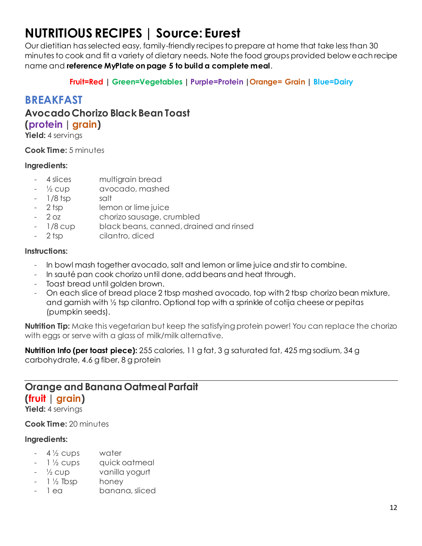## <span id="page-11-0"></span>**NUTRITIOUS RECIPES | Source: Eurest**

Our dietitian has selected easy, family-friendly recipes to prepare at home that take less than 30 minutes to cook and fit a variety of dietary needs. Note the food groups provided below each recipe name and **reference MyPlate on page 5 to build a complete meal**.

**Fruit=Red | Green=Vegetables | Purple=Protein |Orange= Grain | Blue=Dairy**

### <span id="page-11-1"></span>**BREAKFAST**

**Avocado Chorizo Black Bean Toast (protein | grain)**

**Yield:** 4 servings

**Cook Time:** 5 minutes

### **Ingredients:**

- 4 slices multigrain bread
- <sup>1</sup>/<sub>2</sub> cup avocado, mashed
- 1/8 tsp salt
- 2 tsp lemon or lime juice
- 2 oz chorizo sausage, crumbled
- 1/8 cup black beans, canned, drained and rinsed
- 2 tsp cilantro, diced

### **Instructions:**

- In bowl mash together avocado, salt and lemon or lime juice and stir to combine.
- In sauté pan cook chorizo until done, add beans and heat through.
- Toast bread until golden brown.
- On each slice of bread place 2 tbsp mashed avocado, top with 2 tbsp chorizo bean mixture, and garnish with ½ tsp cilantro. Optional top with a sprinkle of cotija cheese or pepitas (pumpkin seeds).

**Nutrition Tip:** Make this vegetarian but keep the satisfying protein power! You can replace the chorizo with eggs or serve with a glass of milk/milk alternative.

**Nutrition Info (per toast piece):** 255 calories, 11 g fat, 3 g saturated fat, 425 mg sodium, 34 g carbohydrate, 4.6 g fiber, 8 g protein

### **Orange and Banana Oatmeal Parfait (fruit | grain)**

**Yield:** 4 servings

**Cook Time:** 20 minutes

- $-4\frac{1}{2}$  cups water
- 1 1/2 cups quick oatmeal
- <sup>1/2</sup> cup vanilla yogurt
- $-$  1  $\frac{1}{2}$  Tbsp honey
- 1 ea banana, sliced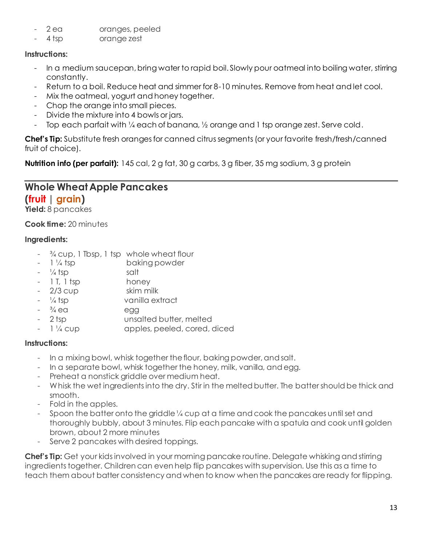- 2 ea cranges, peeled
- 4 tsp orange zest

- In a medium saucepan, bring water to rapid boil. Slowly pour oatmeal into boiling water, stirring constantly.
- Return to a boil. Reduce heat and simmer for 8-10 minutes. Remove from heat and let cool.
- Mix the oatmeal, yogurt and honey together.
- Chop the orange into small pieces.
- Divide the mixture into 4 bowls or jars.
- Top each parfait with 1/4 each of banana, 1/2 orange and 1 tsp orange zest. Serve cold.

**Chef's Tip:** Substitute fresh oranges for canned citrus segments (or your favorite fresh/fresh/canned fruit of choice).

**Nutrition info (per parfait):** 145 cal, 2 g fat, 30 g carbs, 3 g fiber, 35 mg sodium, 3 g protein

## **Whole Wheat Apple Pancakes**

### **(fruit | grain)**

**Yield:** 8 pancakes

**Cook time:** 20 minutes

### **Ingredients:**

- $\frac{3}{4}$  cup, 1 Tbsp, 1 tsp whole wheat flour
- 1 1/4 tsp baking powder
- 
- $\frac{1}{4}$  tsp salt - 1 T, 1 tsp honey
- 2/3 cup skim milk
- $\frac{1}{4}$  tsp vanilla extract
- $\frac{3}{4}$  ea egg
- 2 tsp unsalted butter, melted
- 1 ¼ cup apples, peeled, cored, diced

### **Instructions:**

- In a mixing bowl, whisk together the flour, baking powder, and salt.
- In a separate bowl, whisk together the honey, milk, vanilla, and egg.
- Preheat a nonstick griddle over medium heat.
- Whisk the wet ingredients into the dry. Stir in the melted butter. The batter should be thick and smooth.
- Fold in the apples.
- Spoon the batter onto the griddle 1/4 cup at a time and cook the pancakes until set and thoroughly bubbly, about 3 minutes. Flip each pancake with a spatula and cook until golden brown, about 2 more minutes
- Serve 2 pancakes with desired toppings.

**Chef's Tip:** Get your kids involved in your morning pancake routine. Delegate whisking and stirring ingredients together. Children can even help flip pancakes with supervision. Use this as a time to teach them about batter consistency and when to know when the pancakes are ready for flipping.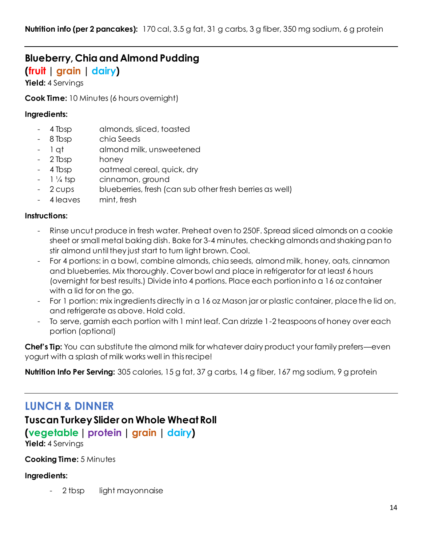## **Blueberry, Chia and Almond Pudding**

**(fruit | grain | dairy)**

**Yield:** 4 Servings

**Cook Time:** 10 Minutes (6 hours overnight)

#### **Ingredients:**

- 4 Tbsp almonds, sliced, toasted
- 8 Tbsp chia Seeds
- 1 qt almond milk, unsweetened
- 2 Tbsp honey
- 4 Tbsp catmeal cereal, quick, dry
- 1 1/4 tsp cinnamon, ground
- 2 cups blueberries, fresh (can sub other fresh berries as well)
- 4 leaves mint, fresh

#### **Instructions:**

- Rinse uncut produce in fresh water. Preheat oven to 250F. Spread sliced almonds on a cookie sheet or small metal baking dish. Bake for 3-4 minutes, checking almonds and shaking pan to stir almond until they just start to turn light brown. Cool.
- For 4 portions: in a bowl, combine almonds, chia seeds, almond milk, honey, oats, cinnamon and blueberries. Mix thoroughly. Cover bowl and place in refrigerator for at least 6 hours (overnight for best results.) Divide into 4 portions. Place each portion into a 16 oz container with a lid for on the go.
- For 1 portion: mix ingredients directly in a 16 oz Mason jar or plastic container, place the lid on, and refrigerate as above. Hold cold.
- To serve, garnish each portion with 1 mint leaf. Can drizzle 1-2 teaspoons of honey over each portion (optional)

**Chef's Tip:** You can substitute the almond milk for whatever dairy product your family prefers—even yogurt with a splash of milk works well in this recipe!

**Nutrition Info Per Serving:** 305 calories, 15 g fat, 37 g carbs, 14 g fiber, 167 mg sodium, 9 g protein

### <span id="page-13-0"></span>**LUNCH & DINNER**

### **Tuscan Turkey Slider on Whole Wheat Roll**

### **(vegetable| protein | grain | dairy)**

**Yield:** 4 Servings

**Cooking Time:** 5 Minutes

#### **Ingredients:**

2 tbsp light mayonnaise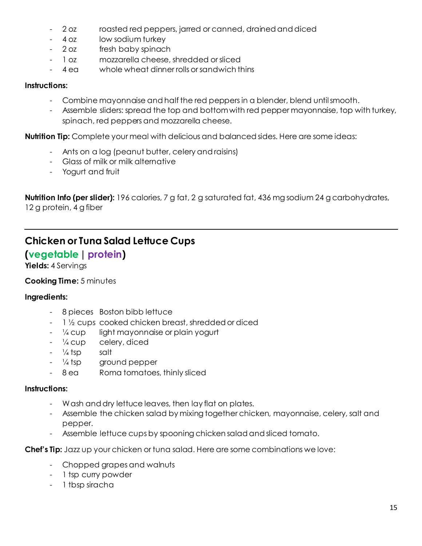- 2 oz roasted red peppers, jarred or canned, drained and diced
- 4 oz low sodium turkey
- 2 oz fresh baby spinach
- 1 oz mozzarella cheese, shredded or sliced
- 4 ea whole wheat dinner rolls or sandwich thins

- Combine mayonnaise and half the red peppers in a blender, blend until smooth.
- Assemble sliders: spread the top and bottom with red pepper mayonnaise, top with turkey, spinach, red peppers and mozzarella cheese.

**Nutrition Tip:** Complete your meal with delicious and balanced sides. Here are some ideas:

- Ants on a log (peanut butter, celery and raisins)
- Glass of milk or milk alternative
- Yogurt and fruit

**Nutrition Info (per slider):** 196 calories, 7 g fat, 2 g saturated fat, 436 mg sodium 24 g carbohydrates, 12 g protein, 4 g fiber

### **Chicken or Tuna Salad Lettuce Cups**

### **(vegetable| protein)**

**Yields:** 4 Servings

### **Cooking Time:** 5 minutes

#### **Ingredients:**

- 8 pieces Boston bibb lettuce
- 1 ½ cups cooked chicken breast, shredded or diced
- $\frac{1}{4}$  cup light mayonnaise or plain yogurt
- ¼ cup celery, diced
- $\frac{1}{4}$  tsp salt
- <sup>1/4</sup> tsp ground pepper
- 8 ea Roma tomatoes, thinly sliced

#### **Instructions:**

- Wash and dry lettuce leaves, then lay flat on plates.
- Assemble the chicken salad by mixing together chicken, mayonnaise, celery, salt and pepper.
- Assemble lettuce cups by spooning chicken salad and sliced tomato.

**Chef's Tip:** Jazz up your chicken or tuna salad. Here are some combinations we love:

- Chopped grapes and walnuts
- 1 tsp curry powder
- 1 tbsp siracha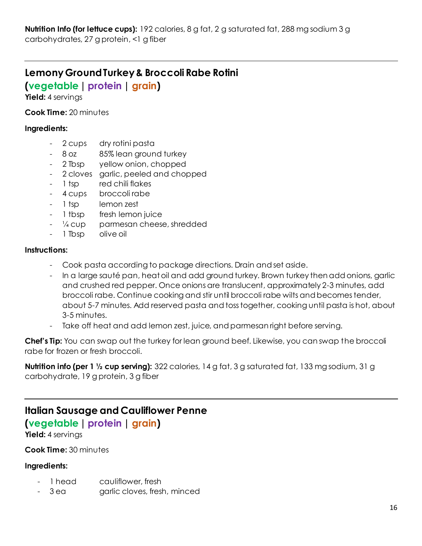### **Lemony Ground Turkey & Broccoli Rabe Rotini**

**(vegetable | protein | grain)**

**Yield:** 4 servings

**Cook Time:** 20 minutes

#### **Ingredients:**

- 2 cups dry rotini pasta
- 8 oz 85% lean ground turkey
- 2 Tbsp yellow onion, chopped
- 2 cloves garlic, peeled and chopped
- 1 tsp red chili flakes
- 4 cups broccoli rabe
- 1 tsp lemon zest
- 1 tbsp fresh lemon juice
- 1/4 cup parmesan cheese, shredded
- 1 Tbsp olive oil

#### **Instructions:**

- Cook pasta according to package directions. Drain and set aside.
- In a large sauté pan, heat oil and add ground turkey. Brown turkey then add onions, garlic and crushed red pepper. Once onions are translucent, approximately 2-3 minutes, add broccoli rabe. Continue cooking and stir until broccoli rabe wilts and becomes tender, about 5-7 minutes. Add reserved pasta and toss together, cooking until pasta is hot, about 3-5 minutes.
- Take off heat and add lemon zest, juice, and parmesan right before serving.

**Chef's Tip:** You can swap out the turkey for lean ground beef. Likewise, you can swap the broccoli rabe for frozen or fresh broccoli.

**Nutrition info (per 1 ½ cup serving):** 322 calories, 14 g fat, 3 g saturated fat, 133 mg sodium, 31 g carbohydrate, 19 g protein, 3 g fiber

### **Italian Sausage and Cauliflower Penne (vegetable| protein | grain)**

**Yield:** 4 servings

**Cook Time:** 30 minutes

- 1 head cauliflower, fresh
- 3 ea garlic cloves, fresh, minced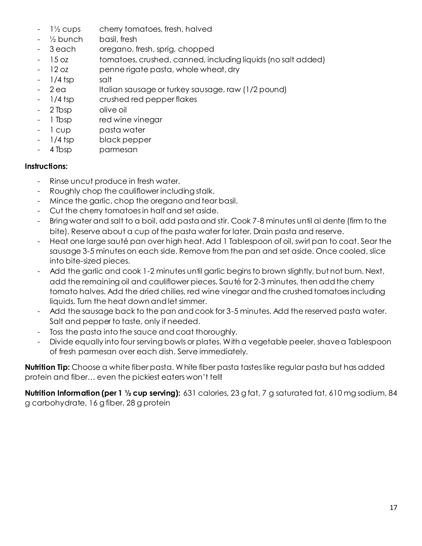- 1½ cups cherry tomatoes, fresh, halved
- ½ bunch basil, fresh
- 3 each oregano, fresh, sprig, chopped
- 15 oz tomatoes, crushed, canned, including liquids (no salt added)
- 12 oz penne rigate pasta, whole wheat, dry
- 1/4 tsp salt
- 2 ea Italian sausage or turkey sausage, raw (1/2 pound)
- 1/4 tsp crushed red pepper flakes
- 2 Tbsp olive oil
- 1 Tbsp red wine vinegar
- 1 cup basta water
- 1/4 tsp black pepper
- 4 Tbsp parmesan

- Rinse uncut produce in fresh water.
- Roughly chop the cauliflower including stalk.
- Mince the garlic, chop the oregano and tear basil.
- Cut the cherry tomatoes in half and set aside.
- Bring water and salt to a boil, add pasta and stir. Cook 7-8 minutes until al dente (firm to the bite). Reserve about a cup of the pasta water for later. Drain pasta and reserve.
- Heat one large sauté pan over high heat. Add 1 Tablespoon of oil, swirl pan to coat. Sear the sausage 3-5 minutes on each side. Remove from the pan and set aside. Once cooled, slice into bite-sized pieces.
- Add the garlic and cook 1-2 minutes until garlic begins to brown slightly, but not burn. Next, add the remaining oil and cauliflower pieces. Sauté for 2-3 minutes, then add the cherry tomato halves. Add the dried chilies, red wine vinegar and the crushed tomatoes including liquids. Turn the heat down and let simmer.
- Add the sausage back to the pan and cook for 3-5 minutes. Add the reserved pasta water. Salt and pepper to taste, only if needed.
- Toss the pasta into the sauce and coat thoroughly.
- Divide equally into four serving bowls or plates. With a vegetable peeler, shave a Tablespoon of fresh parmesan over each dish. Serve immediately.

**Nutrition Tip:** Choose a white fiber pasta. White fiber pasta tastes like regular pasta but has added protein and fiber… even the pickiest eaters won't tell!

**Nutrition Information (per 1 ½ cup serving):** 631 calories, 23 g fat, 7 g saturated fat, 610 mg sodium, 84 g carbohydrate, 16 g fiber, 28 g protein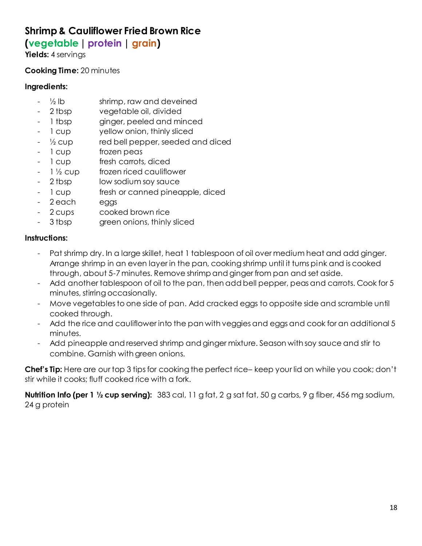### **Shrimp & Cauliflower Fried Brown Rice**

### **(vegetable | protein | grain)**

**Yields:** 4 servings

### **Cooking Time:** 20 minutes

#### **Ingredients:**

- $\frac{1}{2}$  lb shrimp, raw and deveined
- 2 tbsp vegetable oil, divided
- 1 tbsp ginger, peeled and minced
- 1 cup yellow onion, thinly sliced
- $\frac{1}{2}$  cup red bell pepper, seeded and diced
- 1 cup frozen peas
- 1 cup fresh carrots, diced
- $-$  1  $\frac{1}{2}$  cup frozen riced cauliflower
- 2 tbsp low sodium soy sauce
- 1 cup fresh or canned pineapple, diced
- 2 each eggs
- 2 cups cooked brown rice
- 3 tbsp green onions, thinly sliced

### **Instructions:**

- Pat shrimp dry. In a large skillet, heat 1 tablespoon of oil over medium heat and add ginger. Arrange shrimp in an even layer in the pan, cooking shrimp until it turns pink and is cooked through, about 5-7 minutes. Remove shrimp and ginger from pan and set aside.
- Add another tablespoon of oil to the pan, then add bell pepper, peas and carrots. Cook for 5 minutes, stirring occasionally.
- Move vegetables to one side of pan. Add cracked eggs to opposite side and scramble until cooked through.
- Add the rice and cauliflower into the pan with veggies and eggs and cook for an additional 5 minutes.
- Add pineapple and reserved shrimp and ginger mixture. Season with soy sauce and stir to combine. Garnish with green onions.

**Chef's Tip:** Here are our top 3 tips for cooking the perfect rice– keep your lid on while you cook; don't stir while it cooks; fluff cooked rice with a fork.

**Nutrition Info (per 1 ½ cup serving):** 383 cal, 11 g fat, 2 g sat fat, 50 g carbs, 9 g fiber, 456 mg sodium, 24 g protein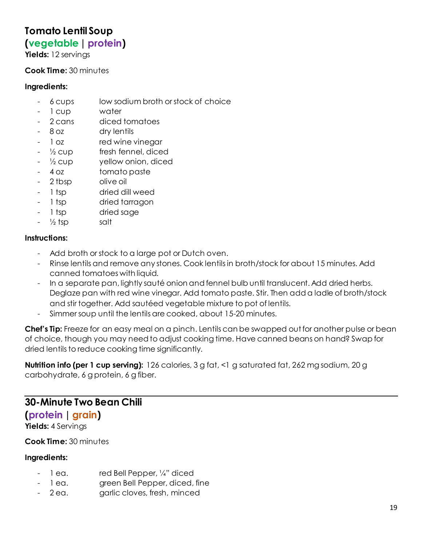### **Tomato Lentil Soup**

### **(vegetable| protein)**

**Yields:** 12 servings

#### **Cook Time:** 30 minutes

#### **Ingredients:**

- 6 cups low sodium broth or stock of choice
- 1 cup water
- 2 cans diced tomatoes
- 8 oz dry lentils
- 1 oz red wine vinegar
- $\frac{1}{2}$  cup fresh fennel, diced
- ½ cup yellow onion, diced
- 4 oz tomato paste
- 2 tbsp olive oil
- 1 tsp dried dill weed
- 1 tsp dried tarragon
- 1 tsp dried sage
- $\frac{1}{2}$  tsp salt

#### **Instructions:**

- Add broth or stock to a large pot or Dutch oven.
- Rinse lentils and remove any stones. Cook lentils in broth/stock for about 15 minutes. Add canned tomatoes with liquid.
- In a separate pan, lightly sauté onion and fennel bulb until translucent. Add dried herbs. Deglaze pan with red wine vinegar. Add tomato paste. Stir. Then add a ladle of broth/stock and stir together. Add sautéed vegetable mixture to pot of lentils.
- Simmer soup until the lentils are cooked, about 15-20 minutes.

**Chef's Tip:** Freeze for an easy meal on a pinch. Lentils can be swapped out for another pulse or bean of choice, though you may need to adjust cooking time. Have canned beans on hand? Swap for dried lentils to reduce cooking time significantly.

**Nutrition info (per 1 cup serving):** 126 calories, 3 g fat, <1 g saturated fat, 262 mg sodium, 20 g carbohydrate, 6 g protein, 6 g fiber.

### **30-Minute Two Bean Chili**

### **(protein | grain)**

**Yields:** 4 Servings

**Cook Time:** 30 minutes

- 1 ea. red Bell Pepper, 1/4" diced
- 1 ea. green Bell Pepper, diced, fine
- 2 ea. garlic cloves, fresh, minced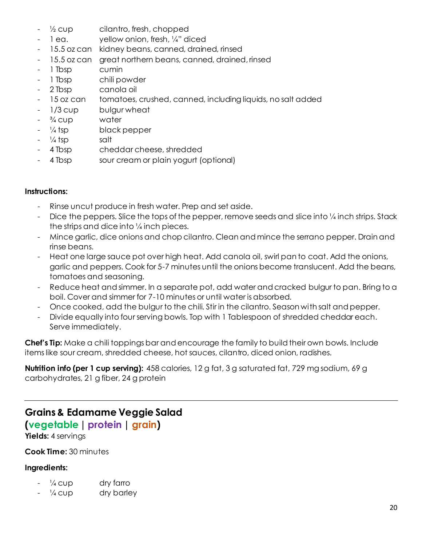- $\frac{1}{2}$  cup cilantro, fresh, chopped
- 1 ea. yellow onion, fresh, 1/4" diced
- 15.5 oz can kidney beans, canned, drained, rinsed
- 15.5 oz can great northern beans, canned, drained, rinsed
- 1 Tbsp cumin
- 1 Tbsp chili powder
- 2 Tbsp canola oil
- 15 oz can tomatoes, crushed, canned, including liquids, no salt added
- 1/3 cup bulgur wheat
- $\frac{3}{4}$  cup water
- $\frac{1}{4}$  tsp black pepper
- $\frac{1}{4}$  tsp salt
- 4 Tbsp cheddar cheese, shredded
- 4 Tbsp sour cream or plain yogurt (optional)

- Rinse uncut produce in fresh water. Prep and set aside.
- Dice the peppers. Slice the tops of the pepper, remove seeds and slice into  $\frac{1}{4}$  inch strips. Stack the strips and dice into ¼ inch pieces.
- Mince garlic, dice onions and chop cilantro. Clean and mince the serrano pepper. Drain and rinse beans.
- Heat one large sauce pot over high heat. Add canola oil, swirl pan to coat. Add the onions, garlic and peppers. Cook for 5-7 minutes until the onions become translucent. Add the beans, tomatoes and seasoning.
- Reduce heat and simmer. In a separate pot, add water and cracked bulgur to pan. Bring to a boil. Cover and simmer for 7-10 minutes or until water is absorbed.
- Once cooked, add the bulgur to the chili. Stir in the cilantro. Season with salt and pepper.
- Divide equally into four serving bowls. Top with 1 Tablespoon of shredded cheddar each. Serve immediately.

**Chef's Tip:** Make a chili toppings bar and encourage the family to build their own bowls. Include items like sour cream, shredded cheese, hot sauces, cilantro, diced onion, radishes.

**Nutrition info (per 1 cup serving):** 458 calories, 12 g fat, 3 g saturated fat, 729 mg sodium, 69 g carbohydrates, 21 g fiber, 24 g protein

### **Grains & Edamame Veggie Salad**

### **(vegetable| protein | grain)**

**Yields:** 4 servings

**Cook Time:** 30 minutes

- $\frac{1}{4}$  cup dry farro
- $\frac{1}{4}$  cup dry barley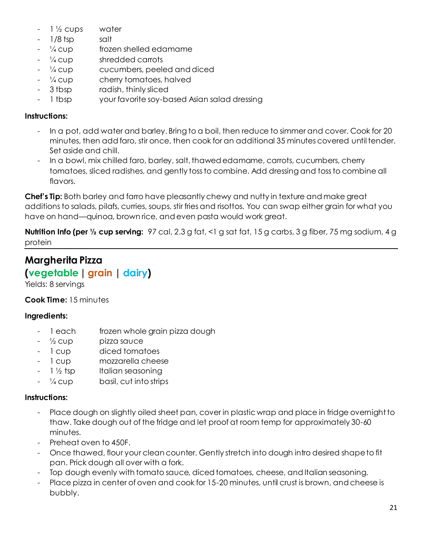- $1\frac{1}{2}$  cups water
- 1/8 tsp salt
- $\frac{1}{4}$  cup frozen shelled edamame
- $\frac{1}{4}$  cup shredded carrots
- $\frac{1}{4}$  cup cucumbers, peeled and diced
- ¼ cup cherry tomatoes, halved
- 3 tbsp radish, thinly sliced
- 1 tbsp your favorite soy-based Asian salad dressing

- In a pot, add water and barley. Bring to a boil, then reduce to simmer and cover. Cook for 20 minutes, then add faro, stir once, then cook for an additional 35 minutes covered until tender. Set aside and chill.
- In a bowl, mix chilled faro, barley, salt, thawed edamame, carrots, cucumbers, cherry tomatoes, sliced radishes, and gently toss to combine. Add dressing and toss to combine all flavors.

**Chef's Tip:** Both barley and farro have pleasantly chewy and nutty in texture and make great additions to salads, pilafs, curries, soups, stir fries and risottos. You can swap either grain for what you have on hand—quinoa, brown rice, and even pasta would work great.

**Nutrition Info (per ½ cup serving:** 97 cal, 2.3 g fat, <1 g sat fat, 15 g carbs, 3 g fiber, 75 mg sodium, 4 g protein

### **Margherita Pizza**

### **(vegetable| grain | dairy)**

Yields: 8 servings

### **Cook Time:** 15 minutes

### **Ingredients:**

- 1 each frozen whole grain pizza dough
- $\frac{1}{2}$  cup pizza sauce
- 1 cup diced tomatoes
- 1 cup mozzarella cheese
- $1\frac{1}{2}$  tsp Italian seasoning
- $\frac{1}{4}$  cup basil, cut into strips

### **Instructions:**

- Place dough on slightly oiled sheet pan, cover in plastic wrap and place in fridge overnight to thaw. Take dough out of the fridge and let proof at room temp for approximately 30-60 minutes.
- Preheat oven to 450F.
- Once thawed, flour your clean counter. Gently stretch into dough intro desired shape to fit pan. Prick dough all over with a fork.
- Top dough evenly with tomato sauce, diced tomatoes, cheese, and Italian seasoning.
- Place pizza in center of oven and cook for 15-20 minutes, until crust is brown, and cheese is bubbly.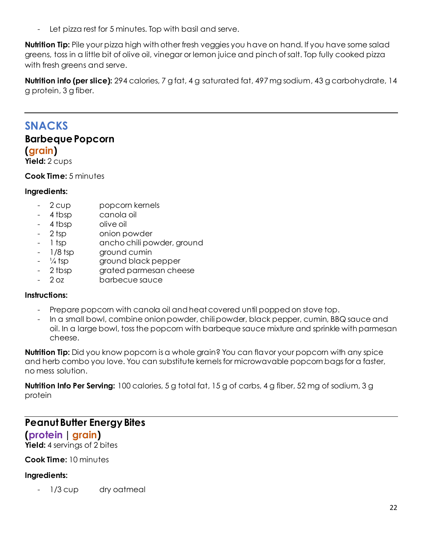- Let pizza rest for 5 minutes. Top with basil and serve.

**Nutrition Tip:** Pile your pizza high with other fresh veggies you have on hand. If you have some salad greens, toss in a little bit of olive oil, vinegar or lemon juice and pinch of salt. Top fully cooked pizza with fresh greens and serve.

**Nutrition info (per slice):** 294 calories, 7 g fat, 4 g saturated fat, 497 mg sodium, 43 g carbohydrate, 14 g protein, 3 g fiber.

### <span id="page-21-0"></span>**SNACKS Barbeque Popcorn (grain)**

**Yield:** 2 cups

**Cook Time:** 5 minutes

#### **Ingredients:**

- 2 cup popcorn kernels
- 4 tbsp canola oil
- 4 tbsp olive oil
- 2 tsp onion powder
- 1 tsp ancho chili powder, ground
- 1/8 tsp ground cumin
- <sup>1/4</sup> tsp ground black pepper
- 2 tbsp grated parmesan cheese
- 2 oz barbecue sauce

#### **Instructions:**

- Prepare popcorn with canola oil and heat covered until popped on stove top.
- In a small bowl, combine onion powder, chili powder, black pepper, cumin, BBQ sauce and oil. In a large bowl, toss the popcorn with barbeque sauce mixture and sprinkle with parmesan cheese.

**Nutrition Tip:** Did you know popcorn is a whole grain? You can flavor your popcorn with any spice and herb combo you love. You can substitute kernels for microwavable popcorn bags for a faster, no mess solution.

**Nutrition Info Per Serving:** 100 calories, 5 g total fat, 15 g of carbs, 4 g fiber, 52 mg of sodium, 3 g protein

### **Peanut Butter Energy Bites**

### **(protein | grain)**

**Yield:** 4 servings of 2 bites

### **Cook Time:** 10 minutes

#### **Ingredients:**

1/3 cup dry oatmeal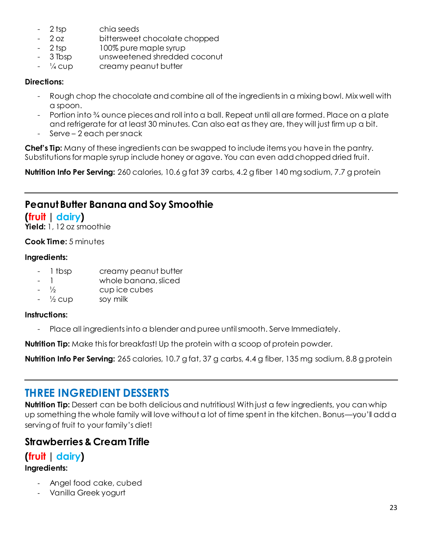- 2 tsp chia seeds
- 2 oz bittersweet chocolate chopped
- 2 tsp 100% pure maple syrup
- 3 Tbsp unsweetened shredded coconut
- $\frac{1}{4}$  cup creamy peanut butter

#### **Directions:**

- Rough chop the chocolate and combine all of the ingredients in a mixing bowl. Mix well with a spoon.
- Portion into ¾ ounce pieces and roll into a ball. Repeat until all are formed. Place on a plate and refrigerate for at least 30 minutes. Can also eat as they are, they will just firm up a bit.
- Serve 2 each per snack

**Chef's Tip:** Many of these ingredients can be swapped to include items you have in the pantry. Substitutions for maple syrup include honey or agave. You can even add chopped dried fruit.

**Nutrition Info Per Serving:** 260 calories, 10.6 g fat 39 carbs, 4.2 g fiber 140 mg sodium, 7.7 g protein

### **Peanut Butter Banana and Soy Smoothie**

### **(fruit | dairy)**

**Yield:** 1, 12 oz smoothie

### **Cook Time:** 5 minutes

#### **Ingredients:**

- 1 tbsp creamy peanut butter
- 1 whole banana, sliced
- $\frac{1}{2}$  cup ice cubes
- $\frac{1}{2}$  cup soy milk

#### **Instructions:**

- Place all ingredients into a blender and puree until smooth. Serve Immediately.

**Nutrition Tip:** Make this for breakfast! Up the protein with a scoop of protein powder.

**Nutrition Info Per Serving:** 265 calories, 10.7 g fat, 37 g carbs, 4.4 g fiber, 135 mg sodium, 8.8 g protein

### **THREE INGREDIENT DESSERTS**

**Nutrition Tip:** Dessert can be both delicious and nutritious! With just a few ingredients, you can whip up something the whole family will love without a lot of time spent in the kitchen. Bonus—you'll add a serving of fruit to your family's diet!

### **Strawberries & Cream Trifle**

### **(fruit | dairy)**

- Angel food cake, cubed
- Vanilla Greek yogurt